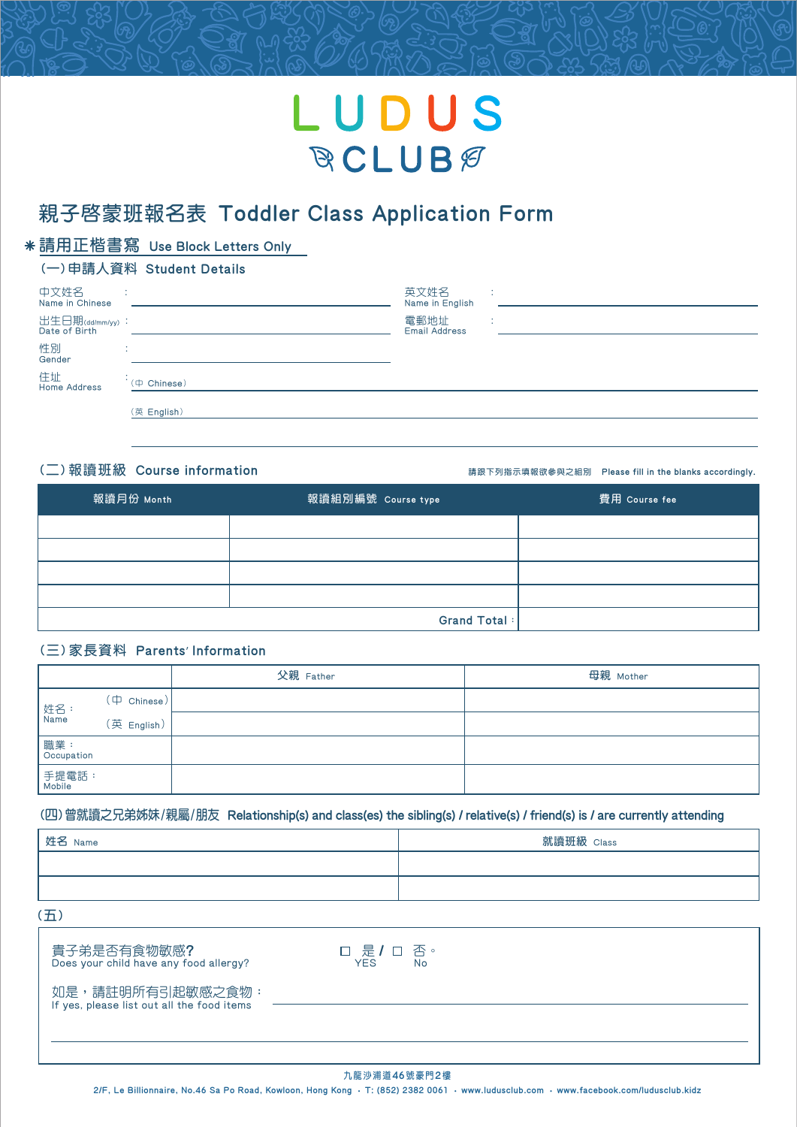# LUDUS **RCLUBE**

## **親子啟蒙班報名表** Toddler Class Application Form

### **請用正楷書寫** Use Block Letters Only

#### **(一)申請人資料** Student Details

| 中文姓名<br>Name in Chinese<br>出生日期(dd/mm/yy):<br>Date of Birth |                     | 英文姓名<br>Name in English<br>電郵地址<br><b>Email Address</b> | ٠. |
|-------------------------------------------------------------|---------------------|---------------------------------------------------------|----|
| 性別<br>Gender                                                | . .<br>$\mathbf{r}$ |                                                         |    |
| 住址<br><b>Home Address</b>                                   | $(4$ Chinese)       |                                                         |    |
|                                                             | (英 English)         |                                                         |    |

(□)報讀班級 Course information **be all intimation the state of the blanks accordingly.** 

|            |                    | __            |
|------------|--------------------|---------------|
| 報讀月份 Month | 報讀組別編號 Course type | 費用 Course fee |
|            |                    |               |
|            |                    |               |
|            |                    |               |
|            |                    |               |
|            | Grand Total:       |               |

#### **(三)家長資料** Parents' Information

|                      |                         | 父親 Father | 母親 Mother |
|----------------------|-------------------------|-----------|-----------|
| 姓名:<br> Name         | $(\nexists \;$ Chinese) |           |           |
|                      | (英 English)             |           |           |
| 職業 :<br>  Occupation |                         |           |           |
| 手提電話:<br>  Mobile    |                         |           |           |

#### **(四)曾就讀之兄弟姊妹/親屬/朋友** Relationship(s) and class(es) the sibling(s) / relative(s) / friend(s) is / are currently attending

| 姓名 Name | 就讀班級 Class |
|---------|------------|
|         |            |
|         |            |

**(五)**

| 貴子弟是否有食物敏感?<br>Does your child have any food allergy?          | □ 是 / □ 否。<br><b>YFS</b><br>No |
|----------------------------------------------------------------|--------------------------------|
| 如是,請註明所有引起敏感之食物:<br>If yes, please list out all the food items |                                |
|                                                                |                                |

#### **九龍沙浦道**46**號豪門**2**樓**